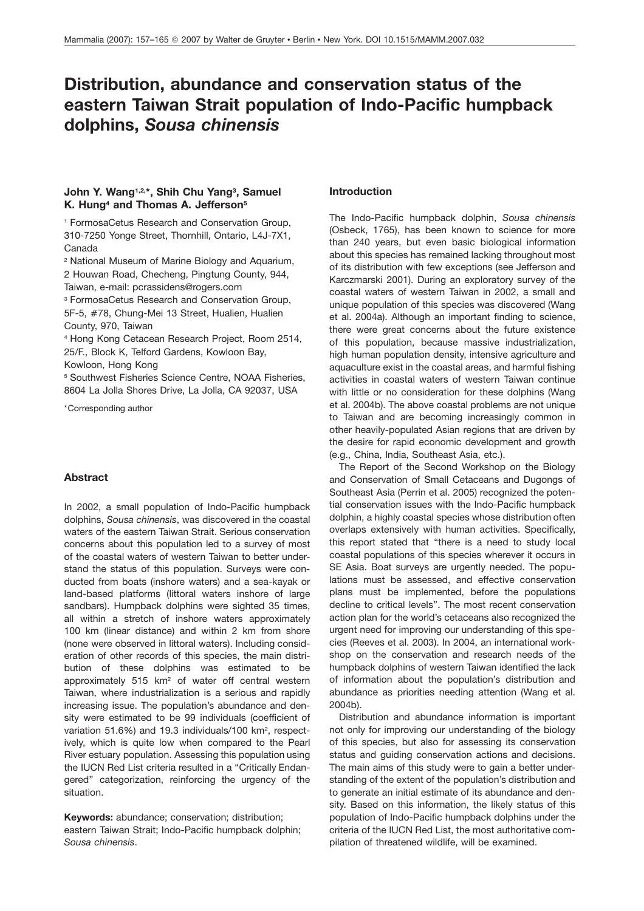# **Distribution, abundance and conservation status of the eastern Taiwan Strait population of Indo-Pacific humpback dolphins,** *Sousa chinensis*

## John Y. Wang<sup>1,2,\*</sup>, Shih Chu Yang<sup>3</sup>, Samuel **K. Hung4 and Thomas A. Jefferson5**

<sup>1</sup> FormosaCetus Research and Conservation Group, 310-7250 Yonge Street, Thornhill, Ontario, L4J-7X1, Canada

<sup>2</sup> National Museum of Marine Biology and Aquarium, 2 Houwan Road, Checheng, Pingtung County, 944, Taiwan, e-mail: pcrassidens@rogers.com

<sup>3</sup> FormosaCetus Research and Conservation Group, 5F-5, #78, Chung-Mei 13 Street, Hualien, Hualien County, 970, Taiwan

<sup>4</sup> Hong Kong Cetacean Research Project, Room 2514, 25/F., Block K, Telford Gardens, Kowloon Bay,

Kowloon, Hong Kong

<sup>5</sup> Southwest Fisheries Science Centre, NOAA Fisheries, 8604 La Jolla Shores Drive, La Jolla, CA 92037, USA

\*Corresponding author

### **Abstract**

In 2002, a small population of Indo-Pacific humpback dolphins, *Sousa chinensis*, was discovered in the coastal waters of the eastern Taiwan Strait. Serious conservation concerns about this population led to a survey of most of the coastal waters of western Taiwan to better understand the status of this population. Surveys were conducted from boats (inshore waters) and a sea-kayak or land-based platforms (littoral waters inshore of large sandbars). Humpback dolphins were sighted 35 times, all within a stretch of inshore waters approximately 100 km (linear distance) and within 2 km from shore (none were observed in littoral waters). Including consideration of other records of this species, the main distribution of these dolphins was estimated to be approximately 515 km<sup>2</sup> of water off central western Taiwan, where industrialization is a serious and rapidly increasing issue. The population's abundance and density were estimated to be 99 individuals (coefficient of variation 51.6%) and 19.3 individuals/100 km<sup>2</sup>, respectively, which is quite low when compared to the Pearl River estuary population. Assessing this population using the IUCN Red List criteria resulted in a "Critically Endangered'' categorization, reinforcing the urgency of the situation.

**Keywords:** abundance; conservation; distribution; eastern Taiwan Strait; Indo-Pacific humpback dolphin; *Sousa chinensis*.

#### **Introduction**

The Indo-Pacific humpback dolphin, *Sousa chinensis* (Osbeck, 1765), has been known to science for more than 240 years, but even basic biological information about this species has remained lacking throughout most of its distribution with few exceptions (see Jefferson and Karczmarski 2001). During an exploratory survey of the coastal waters of western Taiwan in 2002, a small and unique population of this species was discovered (Wang et al. 2004a). Although an important finding to science, there were great concerns about the future existence of this population, because massive industrialization, high human population density, intensive agriculture and aquaculture exist in the coastal areas, and harmful fishing activities in coastal waters of western Taiwan continue with little or no consideration for these dolphins (Wang et al. 2004b). The above coastal problems are not unique to Taiwan and are becoming increasingly common in other heavily-populated Asian regions that are driven by the desire for rapid economic development and growth (e.g., China, India, Southeast Asia, etc.).

The Report of the Second Workshop on the Biology and Conservation of Small Cetaceans and Dugongs of Southeast Asia (Perrin et al. 2005) recognized the potential conservation issues with the Indo-Pacific humpback dolphin, a highly coastal species whose distribution often overlaps extensively with human activities. Specifically, this report stated that ''there is a need to study local coastal populations of this species wherever it occurs in SE Asia. Boat surveys are urgently needed. The populations must be assessed, and effective conservation plans must be implemented, before the populations decline to critical levels''. The most recent conservation action plan for the world's cetaceans also recognized the urgent need for improving our understanding of this species (Reeves et al. 2003). In 2004, an international workshop on the conservation and research needs of the humpback dolphins of western Taiwan identified the lack of information about the population's distribution and abundance as priorities needing attention (Wang et al. 2004b).

Distribution and abundance information is important not only for improving our understanding of the biology of this species, but also for assessing its conservation status and guiding conservation actions and decisions. The main aims of this study were to gain a better understanding of the extent of the population's distribution and to generate an initial estimate of its abundance and density. Based on this information, the likely status of this population of Indo-Pacific humpback dolphins under the criteria of the IUCN Red List, the most authoritative compilation of threatened wildlife, will be examined.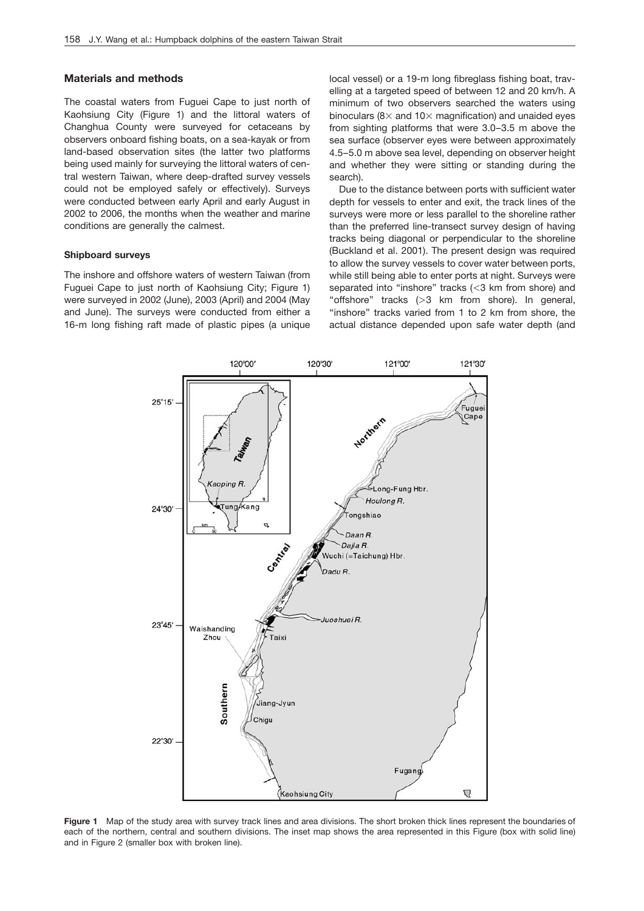#### **Materials and methods**

The coastal waters from Fuguei Cape to just north of Kaohsiung City (Figure 1) and the littoral waters of Changhua County were surveyed for cetaceans by observers onboard fishing boats, on a sea-kayak or from land-based observation sites (the latter two platforms being used mainly for surveying the littoral waters of central western Taiwan, where deep-drafted survey vessels could not be employed safely or effectively). Surveys were conducted between early April and early August in 2002 to 2006, the months when the weather and marine conditions are generally the calmest.

#### **Shipboard surveys**

The inshore and offshore waters of western Taiwan (from Fuguei Cape to just north of Kaohsiung City; Figure 1) were surveyed in 2002 (June), 2003 (April) and 2004 (May and June). The surveys were conducted from either a 16-m long fishing raft made of plastic pipes (a unique local vessel) or a 19-m long fibreglass fishing boat, travelling at a targeted speed of between 12 and 20 km/h. A minimum of two observers searched the waters using binoculars ( $8\times$  and  $10\times$  magnification) and unaided eyes from sighting platforms that were 3.0–3.5 m above the sea surface (observer eyes were between approximately 4.5–5.0 m above sea level, depending on observer height and whether they were sitting or standing during the search).

Due to the distance between ports with sufficient water depth for vessels to enter and exit, the track lines of the surveys were more or less parallel to the shoreline rather than the preferred line-transect survey design of having tracks being diagonal or perpendicular to the shoreline (Buckland et al. 2001). The present design was required to allow the survey vessels to cover water between ports, while still being able to enter ports at night. Surveys were separated into "inshore" tracks  $(<$ 3 km from shore) and "offshore" tracks  $(>3$  km from shore). In general, "inshore" tracks varied from 1 to 2 km from shore, the actual distance depended upon safe water depth (and



**Figure 1** Map of the study area with survey track lines and area divisions. The short broken thick lines represent the boundaries of each of the northern, central and southern divisions. The inset map shows the area represented in this Figure (box with solid line) and in Figure 2 (smaller box with broken line).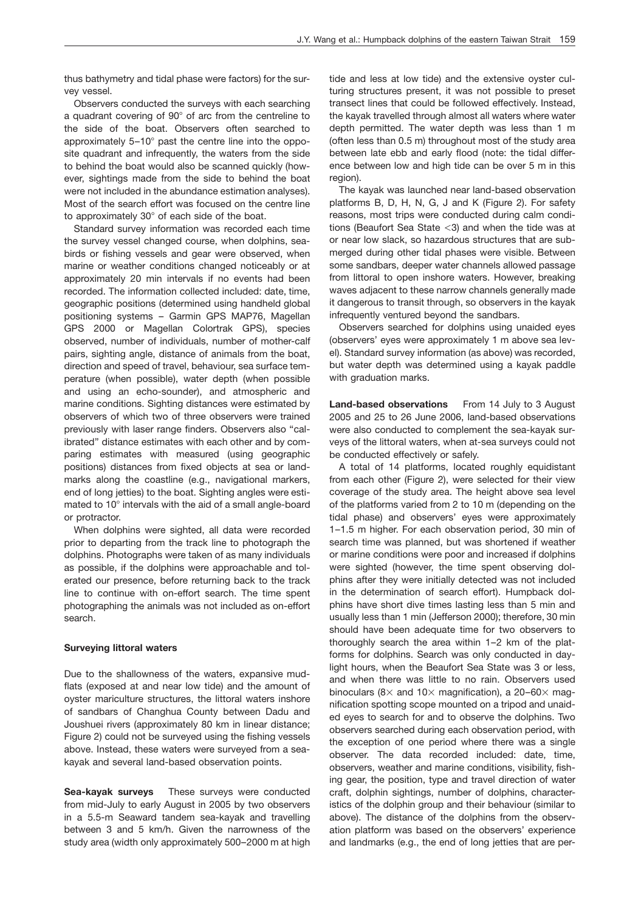thus bathymetry and tidal phase were factors) for the survey vessel.

Observers conducted the surveys with each searching a quadrant covering of  $90^\circ$  of arc from the centreline to the side of the boat. Observers often searched to approximately  $5-10^{\circ}$  past the centre line into the opposite quadrant and infrequently, the waters from the side to behind the boat would also be scanned quickly (however, sightings made from the side to behind the boat were not included in the abundance estimation analyses). Most of the search effort was focused on the centre line to approximately  $30^{\circ}$  of each side of the boat.

Standard survey information was recorded each time the survey vessel changed course, when dolphins, seabirds or fishing vessels and gear were observed, when marine or weather conditions changed noticeably or at approximately 20 min intervals if no events had been recorded. The information collected included: date, time, geographic positions (determined using handheld global positioning systems – Garmin GPS MAP76, Magellan GPS 2000 or Magellan Colortrak GPS), species observed, number of individuals, number of mother-calf pairs, sighting angle, distance of animals from the boat, direction and speed of travel, behaviour, sea surface temperature (when possible), water depth (when possible and using an echo-sounder), and atmospheric and marine conditions. Sighting distances were estimated by observers of which two of three observers were trained previously with laser range finders. Observers also ''calibrated'' distance estimates with each other and by comparing estimates with measured (using geographic positions) distances from fixed objects at sea or landmarks along the coastline (e.g., navigational markers, end of long jetties) to the boat. Sighting angles were estimated to  $10^\circ$  intervals with the aid of a small angle-board or protractor.

When dolphins were sighted, all data were recorded prior to departing from the track line to photograph the dolphins. Photographs were taken of as many individuals as possible, if the dolphins were approachable and tolerated our presence, before returning back to the track line to continue with on-effort search. The time spent photographing the animals was not included as on-effort search.

#### **Surveying littoral waters**

Due to the shallowness of the waters, expansive mudflats (exposed at and near low tide) and the amount of oyster mariculture structures, the littoral waters inshore of sandbars of Changhua County between Dadu and Joushuei rivers (approximately 80 km in linear distance; Figure 2) could not be surveyed using the fishing vessels above. Instead, these waters were surveyed from a seakayak and several land-based observation points.

**Sea-kayak surveys** These surveys were conducted from mid-July to early August in 2005 by two observers in a 5.5-m Seaward tandem sea-kayak and travelling between 3 and 5 km/h. Given the narrowness of the study area (width only approximately 500–2000 m at high

tide and less at low tide) and the extensive oyster culturing structures present, it was not possible to preset transect lines that could be followed effectively. Instead, the kayak travelled through almost all waters where water depth permitted. The water depth was less than 1 m (often less than 0.5 m) throughout most of the study area between late ebb and early flood (note: the tidal difference between low and high tide can be over 5 m in this region).

The kayak was launched near land-based observation platforms B, D, H, N, G, J and K (Figure 2). For safety reasons, most trips were conducted during calm conditions (Beaufort Sea State  $<$ 3) and when the tide was at or near low slack, so hazardous structures that are submerged during other tidal phases were visible. Between some sandbars, deeper water channels allowed passage from littoral to open inshore waters. However, breaking waves adjacent to these narrow channels generally made it dangerous to transit through, so observers in the kayak infrequently ventured beyond the sandbars.

Observers searched for dolphins using unaided eyes (observers' eyes were approximately 1 m above sea level). Standard survey information (as above) was recorded, but water depth was determined using a kayak paddle with graduation marks.

**Land-based observations** From 14 July to 3 August 2005 and 25 to 26 June 2006, land-based observations were also conducted to complement the sea-kayak surveys of the littoral waters, when at-sea surveys could not be conducted effectively or safely.

A total of 14 platforms, located roughly equidistant from each other (Figure 2), were selected for their view coverage of the study area. The height above sea level of the platforms varied from 2 to 10 m (depending on the tidal phase) and observers' eyes were approximately 1–1.5 m higher. For each observation period, 30 min of search time was planned, but was shortened if weather or marine conditions were poor and increased if dolphins were sighted (however, the time spent observing dolphins after they were initially detected was not included in the determination of search effort). Humpback dolphins have short dive times lasting less than 5 min and usually less than 1 min (Jefferson 2000); therefore, 30 min should have been adequate time for two observers to thoroughly search the area within 1–2 km of the platforms for dolphins. Search was only conducted in daylight hours, when the Beaufort Sea State was 3 or less, and when there was little to no rain. Observers used binoculars (8 $\times$  and 10 $\times$  magnification), a 20–60 $\times$  magnification spotting scope mounted on a tripod and unaided eyes to search for and to observe the dolphins. Two observers searched during each observation period, with the exception of one period where there was a single observer. The data recorded included: date, time, observers, weather and marine conditions, visibility, fishing gear, the position, type and travel direction of water craft, dolphin sightings, number of dolphins, characteristics of the dolphin group and their behaviour (similar to above). The distance of the dolphins from the observation platform was based on the observers' experience and landmarks (e.g., the end of long jetties that are per-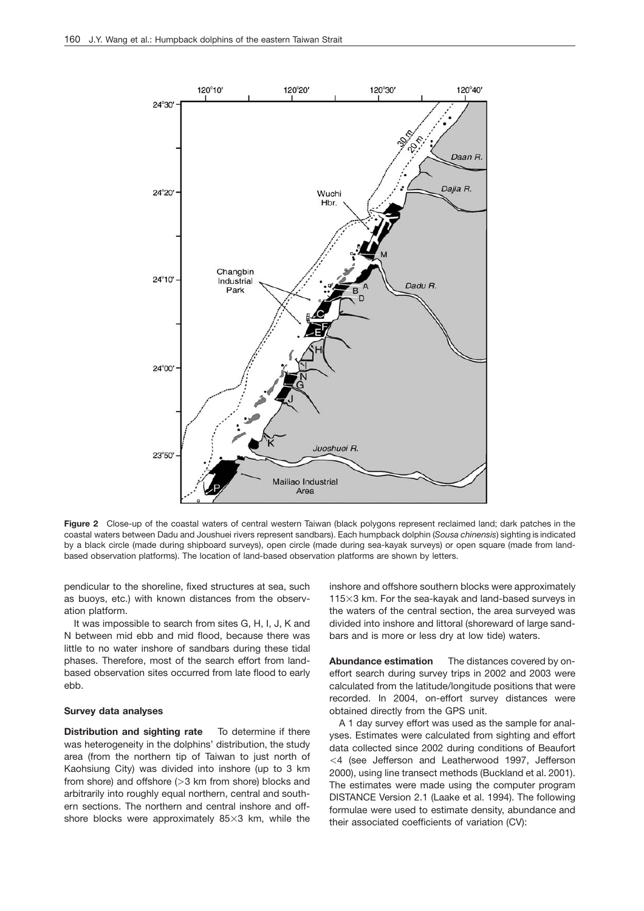

**Figure 2** Close-up of the coastal waters of central western Taiwan (black polygons represent reclaimed land; dark patches in the coastal waters between Dadu and Joushuei rivers represent sandbars). Each humpback dolphin (*Sousa chinensis*) sighting is indicated by a black circle (made during shipboard surveys), open circle (made during sea-kayak surveys) or open square (made from landbased observation platforms). The location of land-based observation platforms are shown by letters.

pendicular to the shoreline, fixed structures at sea, such as buoys, etc.) with known distances from the observation platform.

It was impossible to search from sites G, H, I, J, K and N between mid ebb and mid flood, because there was little to no water inshore of sandbars during these tidal phases. Therefore, most of the search effort from landbased observation sites occurred from late flood to early ebb.

#### **Survey data analyses**

**Distribution and sighting rate** To determine if there was heterogeneity in the dolphins' distribution, the study area (from the northern tip of Taiwan to just north of Kaohsiung City) was divided into inshore (up to 3 km from shore) and offshore  $(>3$  km from shore) blocks and arbitrarily into roughly equal northern, central and southern sections. The northern and central inshore and offshore blocks were approximately  $85\times3$  km, while the

inshore and offshore southern blocks were approximately  $115\times3$  km. For the sea-kayak and land-based surveys in the waters of the central section, the area surveyed was divided into inshore and littoral (shoreward of large sandbars and is more or less dry at low tide) waters.

**Abundance estimation** The distances covered by oneffort search during survey trips in 2002 and 2003 were calculated from the latitude/longitude positions that were recorded. In 2004, on-effort survey distances were obtained directly from the GPS unit.

A 1 day survey effort was used as the sample for analyses. Estimates were calculated from sighting and effort data collected since 2002 during conditions of Beaufort -4 (see Jefferson and Leatherwood 1997, Jefferson 2000), using line transect methods (Buckland et al. 2001). The estimates were made using the computer program DISTANCE Version 2.1 (Laake et al. 1994). The following formulae were used to estimate density, abundance and their associated coefficients of variation (CV):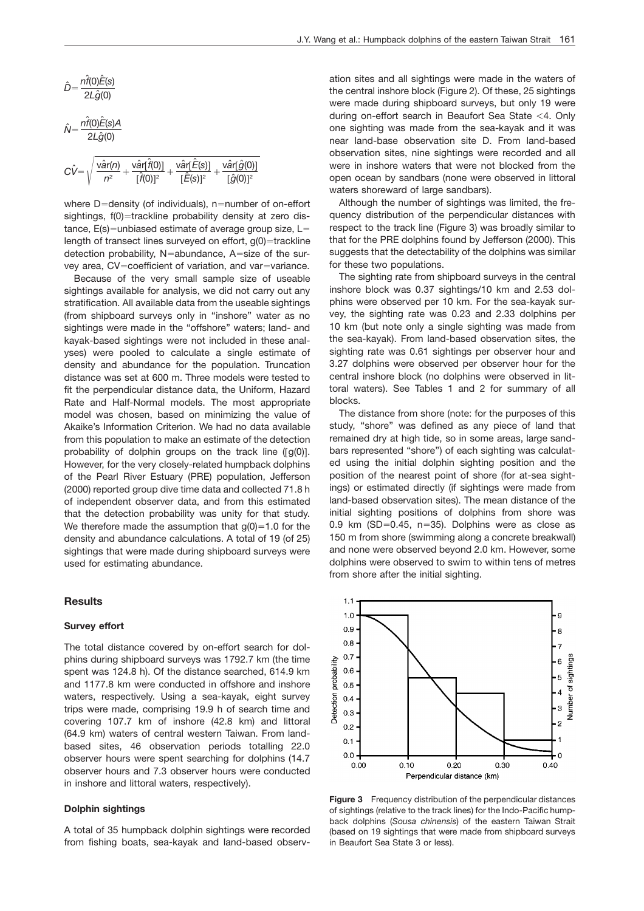$$
\hat{D} = \frac{n\hat{f}(0)\hat{E}(s)}{2L\hat{g}(0)}
$$

$$
\hat{N} = \frac{nt(0)E(S)A}{2L\hat{g}(0)}
$$

ˆ ˆ *nf*(0)*E*(*s*)*<sup>A</sup> <sup>N</sup>*ˆ<sup>s</sup> <sup>2</sup>*Lg*<sup>ˆ</sup> (0)

$$
C\hat{V} = \sqrt{\frac{\text{var}(n)}{n^2} + \frac{\text{var}[\hat{f}(0)]}{[\hat{f}(0)]^2} + \frac{\text{var}[\hat{E}(s)]}{[\hat{E}(s)]^2} + \frac{\text{var}[\hat{g}(0)]}{[\hat{g}(0)]^2}}
$$

where  $D =$ density (of individuals), n=number of on-effort sightings, f(0)=trackline probability density at zero distance,  $E(s)$ =unbiased estimate of average group size, L= length of transect lines surveyed on effort,  $g(0)$ =trackline detection probability,  $N=$ abundance,  $A=$ size of the survey area, CV=coefficient of variation, and var=variance.

Because of the very small sample size of useable sightings available for analysis, we did not carry out any stratification. All available data from the useable sightings (from shipboard surveys only in ''inshore'' water as no sightings were made in the "offshore" waters: land- and kayak-based sightings were not included in these analyses) were pooled to calculate a single estimate of density and abundance for the population. Truncation distance was set at 600 m. Three models were tested to fit the perpendicular distance data, the Uniform, Hazard Rate and Half-Normal models. The most appropriate model was chosen, based on minimizing the value of Akaike's Information Criterion. We had no data available from this population to make an estimate of the detection probability of dolphin groups on the track line  $([g(0)]$ . However, for the very closely-related humpback dolphins of the Pearl River Estuary (PRE) population, Jefferson (2000) reported group dive time data and collected 71.8 h of independent observer data, and from this estimated that the detection probability was unity for that study. We therefore made the assumption that  $g(0)=1.0$  for the density and abundance calculations. A total of 19 (of 25) sightings that were made during shipboard surveys were used for estimating abundance.

#### **Results**

#### **Survey effort**

The total distance covered by on-effort search for dolphins during shipboard surveys was 1792.7 km (the time spent was 124.8 h). Of the distance searched, 614.9 km and 1177.8 km were conducted in offshore and inshore waters, respectively. Using a sea-kayak, eight survey trips were made, comprising 19.9 h of search time and covering 107.7 km of inshore (42.8 km) and littoral (64.9 km) waters of central western Taiwan. From landbased sites, 46 observation periods totalling 22.0 observer hours were spent searching for dolphins (14.7 observer hours and 7.3 observer hours were conducted in inshore and littoral waters, respectively).

#### **Dolphin sightings**

A total of 35 humpback dolphin sightings were recorded from fishing boats, sea-kayak and land-based observation sites and all sightings were made in the waters of the central inshore block (Figure 2). Of these, 25 sightings were made during shipboard surveys, but only 19 were during on-effort search in Beaufort Sea State  $<$  4. Only one sighting was made from the sea-kayak and it was near land-base observation site D. From land-based observation sites, nine sightings were recorded and all were in inshore waters that were not blocked from the open ocean by sandbars (none were observed in littoral waters shoreward of large sandbars).

Although the number of sightings was limited, the frequency distribution of the perpendicular distances with respect to the track line (Figure 3) was broadly similar to that for the PRE dolphins found by Jefferson (2000). This suggests that the detectability of the dolphins was similar for these two populations.

The sighting rate from shipboard surveys in the central inshore block was 0.37 sightings/10 km and 2.53 dolphins were observed per 10 km. For the sea-kayak survey, the sighting rate was 0.23 and 2.33 dolphins per 10 km (but note only a single sighting was made from the sea-kayak). From land-based observation sites, the sighting rate was 0.61 sightings per observer hour and 3.27 dolphins were observed per observer hour for the central inshore block (no dolphins were observed in littoral waters). See Tables 1 and 2 for summary of all blocks.

The distance from shore (note: for the purposes of this study, "shore" was defined as any piece of land that remained dry at high tide, so in some areas, large sandbars represented ''shore'') of each sighting was calculated using the initial dolphin sighting position and the position of the nearest point of shore (for at-sea sightings) or estimated directly (if sightings were made from land-based observation sites). The mean distance of the initial sighting positions of dolphins from shore was 0.9 km (SD=0.45, n=35). Dolphins were as close as 150 m from shore (swimming along a concrete breakwall) and none were observed beyond 2.0 km. However, some dolphins were observed to swim to within tens of metres from shore after the initial sighting.



**Figure 3** Frequency distribution of the perpendicular distances of sightings (relative to the track lines) for the Indo-Pacific humpback dolphins (*Sousa chinensis*) of the eastern Taiwan Strait (based on 19 sightings that were made from shipboard surveys in Beaufort Sea State 3 or less).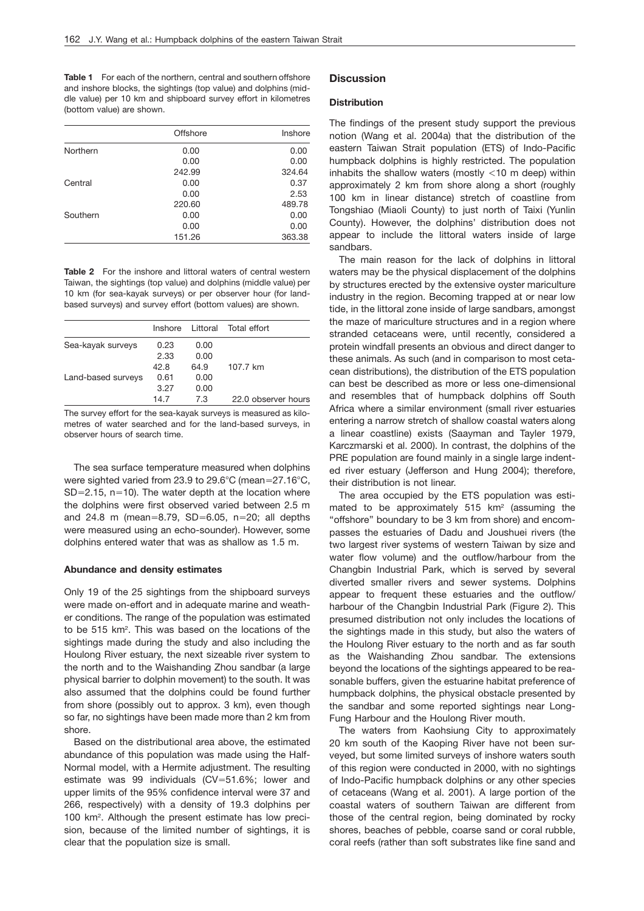**Table 1** For each of the northern, central and southern offshore and inshore blocks, the sightings (top value) and dolphins (middle value) per 10 km and shipboard survey effort in kilometres (bottom value) are shown.

|          | Offshore | Inshore |  |
|----------|----------|---------|--|
| Northern | 0.00     | 0.00    |  |
|          | 0.00     | 0.00    |  |
|          | 242.99   | 324.64  |  |
| Central  | 0.00     | 0.37    |  |
|          | 0.00     | 2.53    |  |
|          | 220.60   | 489.78  |  |
| Southern | 0.00     | 0.00    |  |
|          | 0.00     | 0.00    |  |
|          | 151.26   | 363.38  |  |

**Table 2** For the inshore and littoral waters of central western Taiwan, the sightings (top value) and dolphins (middle value) per 10 km (for sea-kayak surveys) or per observer hour (for landbased surveys) and survey effort (bottom values) are shown.

|                    |      |      | Inshore Littoral Total effort |
|--------------------|------|------|-------------------------------|
| Sea-kayak survevs  | 0.23 | 0.00 |                               |
|                    | 2.33 | 0.00 |                               |
|                    | 42.8 | 64.9 | 107.7 km                      |
| Land-based surveys | 0.61 | 0.00 |                               |
|                    | 3.27 | 0.00 |                               |
|                    | 14.7 | 7.3  | 22.0 observer hours           |

The survey effort for the sea-kayak surveys is measured as kilometres of water searched and for the land-based surveys, in observer hours of search time.

The sea surface temperature measured when dolphins were sighted varied from 23.9 to 29.6 $^{\circ}$ C (mean=27.16 $^{\circ}$ C,  $SD = 2.15$ , n=10). The water depth at the location where the dolphins were first observed varied between 2.5 m and 24.8 m (mean=8.79, SD=6.05, n=20; all depths were measured using an echo-sounder). However, some dolphins entered water that was as shallow as 1.5 m.

#### **Abundance and density estimates**

Only 19 of the 25 sightings from the shipboard surveys were made on-effort and in adequate marine and weather conditions. The range of the population was estimated to be 515 km2. This was based on the locations of the sightings made during the study and also including the Houlong River estuary, the next sizeable river system to the north and to the Waishanding Zhou sandbar (a large physical barrier to dolphin movement) to the south. It was also assumed that the dolphins could be found further from shore (possibly out to approx. 3 km), even though so far, no sightings have been made more than 2 km from shore.

Based on the distributional area above, the estimated abundance of this population was made using the Half-Normal model, with a Hermite adjustment. The resulting estimate was 99 individuals  $(CV=51.6\%;$  lower and upper limits of the 95% confidence interval were 37 and 266, respectively) with a density of 19.3 dolphins per 100 km2. Although the present estimate has low precision, because of the limited number of sightings, it is clear that the population size is small.

# **Discussion**

### **Distribution**

The findings of the present study support the previous notion (Wang et al. 2004a) that the distribution of the eastern Taiwan Strait population (ETS) of Indo-Pacific humpback dolphins is highly restricted. The population inhabits the shallow waters (mostly  $<10$  m deep) within approximately 2 km from shore along a short (roughly 100 km in linear distance) stretch of coastline from Tongshiao (Miaoli County) to just north of Taixi (Yunlin County). However, the dolphins' distribution does not appear to include the littoral waters inside of large sandbars.

The main reason for the lack of dolphins in littoral waters may be the physical displacement of the dolphins by structures erected by the extensive oyster mariculture industry in the region. Becoming trapped at or near low tide, in the littoral zone inside of large sandbars, amongst the maze of mariculture structures and in a region where stranded cetaceans were, until recently, considered a protein windfall presents an obvious and direct danger to these animals. As such (and in comparison to most cetacean distributions), the distribution of the ETS population can best be described as more or less one-dimensional and resembles that of humpback dolphins off South Africa where a similar environment (small river estuaries entering a narrow stretch of shallow coastal waters along a linear coastline) exists (Saayman and Tayler 1979, Karczmarski et al. 2000). In contrast, the dolphins of the PRE population are found mainly in a single large indented river estuary (Jefferson and Hung 2004); therefore, their distribution is not linear.

The area occupied by the ETS population was estimated to be approximately 515 km<sup>2</sup> (assuming the "offshore" boundary to be 3 km from shore) and encompasses the estuaries of Dadu and Joushuei rivers (the two largest river systems of western Taiwan by size and water flow volume) and the outflow/harbour from the Changbin Industrial Park, which is served by several diverted smaller rivers and sewer systems. Dolphins appear to frequent these estuaries and the outflow/ harbour of the Changbin Industrial Park (Figure 2). This presumed distribution not only includes the locations of the sightings made in this study, but also the waters of the Houlong River estuary to the north and as far south as the Waishanding Zhou sandbar. The extensions beyond the locations of the sightings appeared to be reasonable buffers, given the estuarine habitat preference of humpback dolphins, the physical obstacle presented by the sandbar and some reported sightings near Long-Fung Harbour and the Houlong River mouth.

The waters from Kaohsiung City to approximately 20 km south of the Kaoping River have not been surveyed, but some limited surveys of inshore waters south of this region were conducted in 2000, with no sightings of Indo-Pacific humpback dolphins or any other species of cetaceans (Wang et al. 2001). A large portion of the coastal waters of southern Taiwan are different from those of the central region, being dominated by rocky shores, beaches of pebble, coarse sand or coral rubble, coral reefs (rather than soft substrates like fine sand and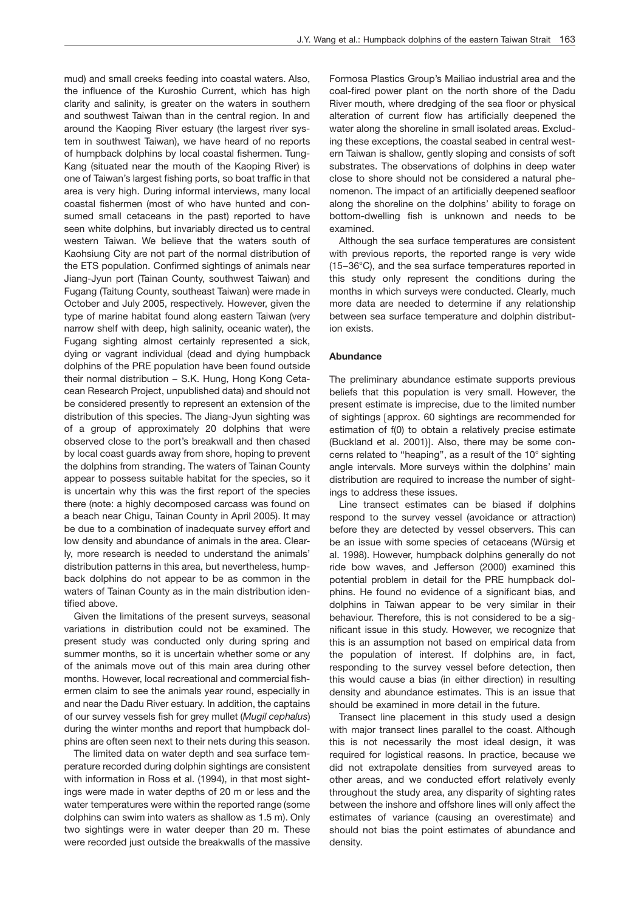mud) and small creeks feeding into coastal waters. Also, the influence of the Kuroshio Current, which has high clarity and salinity, is greater on the waters in southern and southwest Taiwan than in the central region. In and around the Kaoping River estuary (the largest river system in southwest Taiwan), we have heard of no reports of humpback dolphins by local coastal fishermen. Tung-Kang (situated near the mouth of the Kaoping River) is one of Taiwan's largest fishing ports, so boat traffic in that area is very high. During informal interviews, many local coastal fishermen (most of who have hunted and consumed small cetaceans in the past) reported to have seen white dolphins, but invariably directed us to central western Taiwan. We believe that the waters south of Kaohsiung City are not part of the normal distribution of the ETS population. Confirmed sightings of animals near Jiang-Jyun port (Tainan County, southwest Taiwan) and Fugang (Taitung County, southeast Taiwan) were made in October and July 2005, respectively. However, given the type of marine habitat found along eastern Taiwan (very narrow shelf with deep, high salinity, oceanic water), the Fugang sighting almost certainly represented a sick, dying or vagrant individual (dead and dying humpback dolphins of the PRE population have been found outside their normal distribution – S.K. Hung, Hong Kong Cetacean Research Project, unpublished data) and should not be considered presently to represent an extension of the distribution of this species. The Jiang-Jyun sighting was of a group of approximately 20 dolphins that were observed close to the port's breakwall and then chased by local coast guards away from shore, hoping to prevent the dolphins from stranding. The waters of Tainan County appear to possess suitable habitat for the species, so it is uncertain why this was the first report of the species there (note: a highly decomposed carcass was found on a beach near Chigu, Tainan County in April 2005). It may be due to a combination of inadequate survey effort and low density and abundance of animals in the area. Clearly, more research is needed to understand the animals' distribution patterns in this area, but nevertheless, humpback dolphins do not appear to be as common in the waters of Tainan County as in the main distribution identified above.

Given the limitations of the present surveys, seasonal variations in distribution could not be examined. The present study was conducted only during spring and summer months, so it is uncertain whether some or any of the animals move out of this main area during other months. However, local recreational and commercial fishermen claim to see the animals year round, especially in and near the Dadu River estuary. In addition, the captains of our survey vessels fish for grey mullet (*Mugil cephalus*) during the winter months and report that humpback dolphins are often seen next to their nets during this season.

The limited data on water depth and sea surface temperature recorded during dolphin sightings are consistent with information in Ross et al. (1994), in that most sightings were made in water depths of 20 m or less and the water temperatures were within the reported range (some dolphins can swim into waters as shallow as 1.5 m). Only two sightings were in water deeper than 20 m. These were recorded just outside the breakwalls of the massive

Formosa Plastics Group's Mailiao industrial area and the coal-fired power plant on the north shore of the Dadu River mouth, where dredging of the sea floor or physical alteration of current flow has artificially deepened the water along the shoreline in small isolated areas. Excluding these exceptions, the coastal seabed in central western Taiwan is shallow, gently sloping and consists of soft substrates. The observations of dolphins in deep water close to shore should not be considered a natural phenomenon. The impact of an artificially deepened seafloor along the shoreline on the dolphins' ability to forage on bottom-dwelling fish is unknown and needs to be examined.

Although the sea surface temperatures are consistent with previous reports, the reported range is very wide  $(15-36^{\circ}C)$ , and the sea surface temperatures reported in this study only represent the conditions during the months in which surveys were conducted. Clearly, much more data are needed to determine if any relationship between sea surface temperature and dolphin distribution exists.

#### **Abundance**

The preliminary abundance estimate supports previous beliefs that this population is very small. However, the present estimate is imprecise, due to the limited number of sightings [approx. 60 sightings are recommended for estimation of f(0) to obtain a relatively precise estimate (Buckland et al. 2001)]. Also, there may be some concerns related to "heaping", as a result of the 10° sighting angle intervals. More surveys within the dolphins' main distribution are required to increase the number of sightings to address these issues.

Line transect estimates can be biased if dolphins respond to the survey vessel (avoidance or attraction) before they are detected by vessel observers. This can be an issue with some species of cetaceans (Würsig et al. 1998). However, humpback dolphins generally do not ride bow waves, and Jefferson (2000) examined this potential problem in detail for the PRE humpback dolphins. He found no evidence of a significant bias, and dolphins in Taiwan appear to be very similar in their behaviour. Therefore, this is not considered to be a significant issue in this study. However, we recognize that this is an assumption not based on empirical data from the population of interest. If dolphins are, in fact, responding to the survey vessel before detection, then this would cause a bias (in either direction) in resulting density and abundance estimates. This is an issue that should be examined in more detail in the future.

Transect line placement in this study used a design with major transect lines parallel to the coast. Although this is not necessarily the most ideal design, it was required for logistical reasons. In practice, because we did not extrapolate densities from surveyed areas to other areas, and we conducted effort relatively evenly throughout the study area, any disparity of sighting rates between the inshore and offshore lines will only affect the estimates of variance (causing an overestimate) and should not bias the point estimates of abundance and density.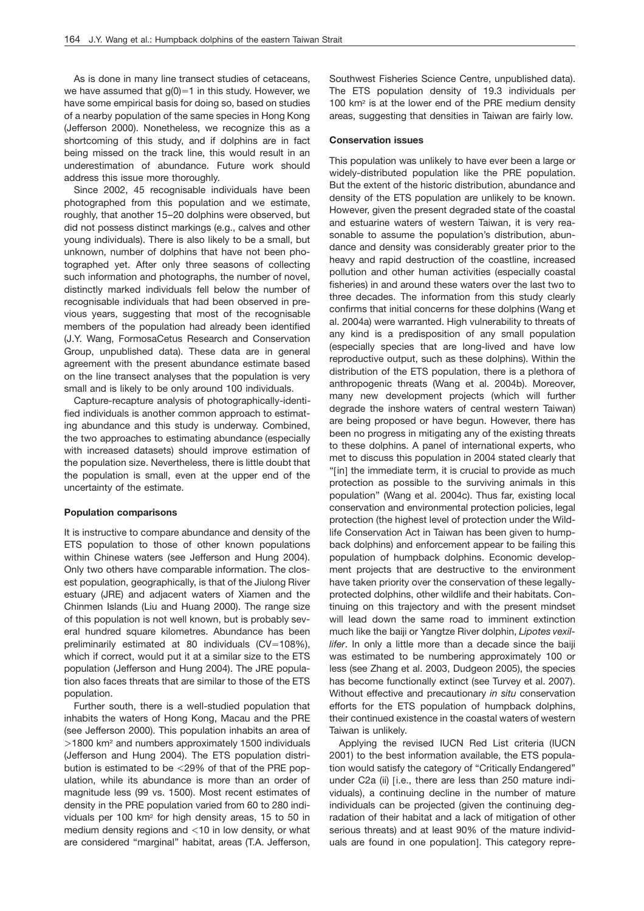As is done in many line transect studies of cetaceans, we have assumed that  $q(0)=1$  in this study. However, we have some empirical basis for doing so, based on studies of a nearby population of the same species in Hong Kong (Jefferson 2000). Nonetheless, we recognize this as a shortcoming of this study, and if dolphins are in fact being missed on the track line, this would result in an underestimation of abundance. Future work should address this issue more thoroughly.

Since 2002, 45 recognisable individuals have been photographed from this population and we estimate, roughly, that another 15–20 dolphins were observed, but did not possess distinct markings (e.g., calves and other young individuals). There is also likely to be a small, but unknown, number of dolphins that have not been photographed yet. After only three seasons of collecting such information and photographs, the number of novel, distinctly marked individuals fell below the number of recognisable individuals that had been observed in previous years, suggesting that most of the recognisable members of the population had already been identified (J.Y. Wang, FormosaCetus Research and Conservation Group, unpublished data). These data are in general agreement with the present abundance estimate based on the line transect analyses that the population is very small and is likely to be only around 100 individuals.

Capture-recapture analysis of photographically-identified individuals is another common approach to estimating abundance and this study is underway. Combined, the two approaches to estimating abundance (especially with increased datasets) should improve estimation of the population size. Nevertheless, there is little doubt that the population is small, even at the upper end of the uncertainty of the estimate.

#### **Population comparisons**

It is instructive to compare abundance and density of the ETS population to those of other known populations within Chinese waters (see Jefferson and Hung 2004). Only two others have comparable information. The closest population, geographically, is that of the Jiulong River estuary (JRE) and adjacent waters of Xiamen and the Chinmen Islands (Liu and Huang 2000). The range size of this population is not well known, but is probably several hundred square kilometres. Abundance has been preliminarily estimated at 80 individuals  $(CV=108\%),$ which if correct, would put it at a similar size to the ETS population (Jefferson and Hung 2004). The JRE population also faces threats that are similar to those of the ETS population.

Further south, there is a well-studied population that inhabits the waters of Hong Kong, Macau and the PRE (see Jefferson 2000). This population inhabits an area of  $>1800$  km<sup>2</sup> and numbers approximately 1500 individuals (Jefferson and Hung 2004). The ETS population distribution is estimated to be -29% of that of the PRE population, while its abundance is more than an order of magnitude less (99 vs. 1500). Most recent estimates of density in the PRE population varied from 60 to 280 individuals per 100 km2 for high density areas, 15 to 50 in medium density regions and  $<$ 10 in low density, or what are considered ''marginal'' habitat, areas (T.A. Jefferson,

Southwest Fisheries Science Centre, unpublished data). The ETS population density of 19.3 individuals per 100 km<sup>2</sup> is at the lower end of the PRE medium density areas, suggesting that densities in Taiwan are fairly low.

#### **Conservation issues**

This population was unlikely to have ever been a large or widely-distributed population like the PRE population. But the extent of the historic distribution, abundance and density of the ETS population are unlikely to be known. However, given the present degraded state of the coastal and estuarine waters of western Taiwan, it is very reasonable to assume the population's distribution, abundance and density was considerably greater prior to the heavy and rapid destruction of the coastline, increased pollution and other human activities (especially coastal fisheries) in and around these waters over the last two to three decades. The information from this study clearly confirms that initial concerns for these dolphins (Wang et al. 2004a) were warranted. High vulnerability to threats of any kind is a predisposition of any small population (especially species that are long-lived and have low reproductive output, such as these dolphins). Within the distribution of the ETS population, there is a plethora of anthropogenic threats (Wang et al. 2004b). Moreover, many new development projects (which will further degrade the inshore waters of central western Taiwan) are being proposed or have begun. However, there has been no progress in mitigating any of the existing threats to these dolphins. A panel of international experts, who met to discuss this population in 2004 stated clearly that "[in] the immediate term, it is crucial to provide as much protection as possible to the surviving animals in this population'' (Wang et al. 2004c). Thus far, existing local conservation and environmental protection policies, legal protection (the highest level of protection under the Wildlife Conservation Act in Taiwan has been given to humpback dolphins) and enforcement appear to be failing this population of humpback dolphins. Economic development projects that are destructive to the environment have taken priority over the conservation of these legallyprotected dolphins, other wildlife and their habitats. Continuing on this trajectory and with the present mindset will lead down the same road to imminent extinction much like the baiji or Yangtze River dolphin, *Lipotes vexillifer*. In only a little more than a decade since the baiji was estimated to be numbering approximately 100 or less (see Zhang et al. 2003, Dudgeon 2005), the species has become functionally extinct (see Turvey et al. 2007). Without effective and precautionary *in situ* conservation efforts for the ETS population of humpback dolphins, their continued existence in the coastal waters of western Taiwan is unlikely.

Applying the revised IUCN Red List criteria (IUCN 2001) to the best information available, the ETS population would satisfy the category of "Critically Endangered" under C2a (ii) [i.e., there are less than 250 mature individuals), a continuing decline in the number of mature individuals can be projected (given the continuing degradation of their habitat and a lack of mitigation of other serious threats) and at least 90% of the mature individuals are found in one population]. This category repre